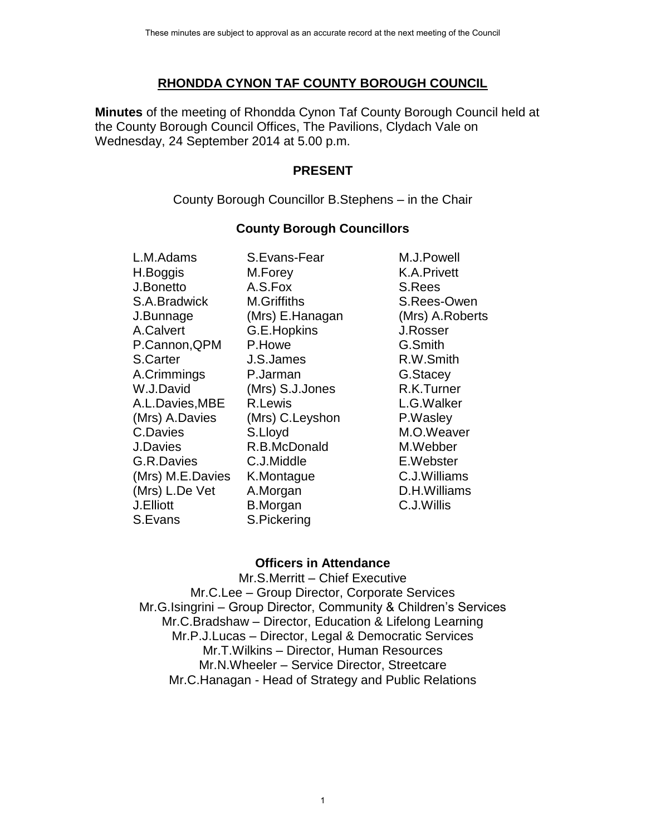## **RHONDDA CYNON TAF COUNTY BOROUGH COUNCIL**

**Minutes** of the meeting of Rhondda Cynon Taf County Borough Council held at the County Borough Council Offices, The Pavilions, Clydach Vale on Wednesday, 24 September 2014 at 5.00 p.m.

### **PRESENT**

County Borough Councillor B.Stephens – in the Chair

# **County Borough Councillors**

L.M.Adams S.Evans-Fear M.J.Powell H.Boggis M.Forey K.A.Privett J.Bonetto A.S.Fox S.Rees S.A.Bradwick M.Griffiths S.Rees-Owen J.Bunnage (Mrs) E.Hanagan (Mrs) A.Roberts A.Calvert G.E.Hopkins J.Rosser P.Cannon, QPM P.Howe G.Smith S.Carter J.S.James R.W.Smith A.Crimmings P.Jarman G.Stacey W.J.David (Mrs) S.J.Jones R.K.Turner A.L.Davies,MBE R.Lewis L.G.Walker (Mrs) A.Davies (Mrs) C.Leyshon P.Wasley C.Davies S.Lloyd M.O.Weaver J.Davies R.B.McDonald M.Webber G.R.Davies C.J.Middle E.Webster (Mrs) M.E.Davies K.Montague C.J.Williams (Mrs) L.De Vet A.Morgan D.H.Williams J.Elliott B.Morgan C.J.Willis S.Evans S.Pickering

# **Officers in Attendance**

Mr.S.Merritt – Chief Executive Mr.C.Lee – Group Director, Corporate Services Mr.G.Isingrini – Group Director, Community & Children's Services Mr.C.Bradshaw – Director, Education & Lifelong Learning Mr.P.J.Lucas – Director, Legal & Democratic Services Mr.T.Wilkins – Director, Human Resources Mr.N.Wheeler – Service Director, Streetcare Mr.C.Hanagan - Head of Strategy and Public Relations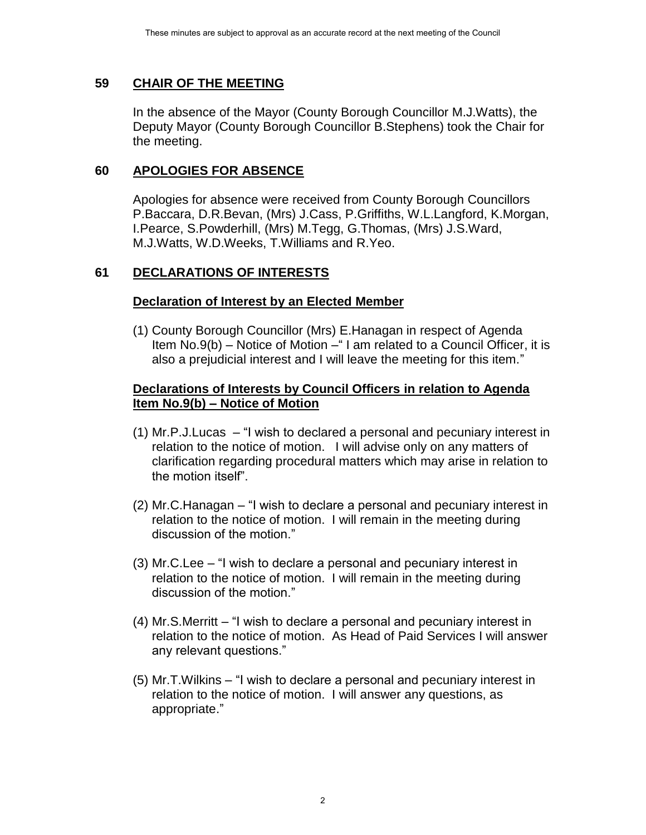## **59 CHAIR OF THE MEETING**

In the absence of the Mayor (County Borough Councillor M.J.Watts), the Deputy Mayor (County Borough Councillor B.Stephens) took the Chair for the meeting.

## **60 APOLOGIES FOR ABSENCE**

Apologies for absence were received from County Borough Councillors P.Baccara, D.R.Bevan, (Mrs) J.Cass, P.Griffiths, W.L.Langford, K.Morgan, I.Pearce, S.Powderhill, (Mrs) M.Tegg, G.Thomas, (Mrs) J.S.Ward, M.J.Watts, W.D.Weeks, T.Williams and R.Yeo.

## **61 DECLARATIONS OF INTERESTS**

## **Declaration of Interest by an Elected Member**

(1) County Borough Councillor (Mrs) E.Hanagan in respect of Agenda Item No.9(b) – Notice of Motion –" I am related to a Council Officer, it is also a prejudicial interest and I will leave the meeting for this item."

## **Declarations of Interests by Council Officers in relation to Agenda Item No.9(b) – Notice of Motion**

- (1) Mr.P.J.Lucas "I wish to declared a personal and pecuniary interest in relation to the notice of motion. I will advise only on any matters of clarification regarding procedural matters which may arise in relation to the motion itself".
- (2) Mr.C.Hanagan "I wish to declare a personal and pecuniary interest in relation to the notice of motion. I will remain in the meeting during discussion of the motion."
- (3) Mr.C.Lee "I wish to declare a personal and pecuniary interest in relation to the notice of motion. I will remain in the meeting during discussion of the motion."
- (4) Mr.S.Merritt "I wish to declare a personal and pecuniary interest in relation to the notice of motion. As Head of Paid Services I will answer any relevant questions."
- (5) Mr.T.Wilkins "I wish to declare a personal and pecuniary interest in relation to the notice of motion. I will answer any questions, as appropriate."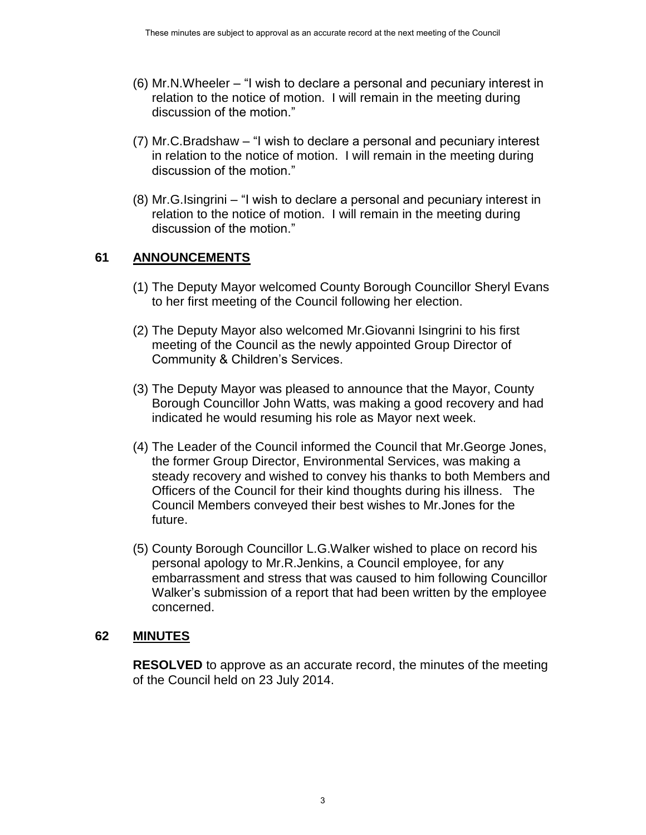- (6) Mr.N.Wheeler "I wish to declare a personal and pecuniary interest in relation to the notice of motion. I will remain in the meeting during discussion of the motion."
- (7) Mr.C.Bradshaw "I wish to declare a personal and pecuniary interest in relation to the notice of motion. I will remain in the meeting during discussion of the motion."
- (8) Mr.G.Isingrini "I wish to declare a personal and pecuniary interest in relation to the notice of motion. I will remain in the meeting during discussion of the motion."

## **61 ANNOUNCEMENTS**

- (1) The Deputy Mayor welcomed County Borough Councillor Sheryl Evans to her first meeting of the Council following her election.
- (2) The Deputy Mayor also welcomed Mr.Giovanni Isingrini to his first meeting of the Council as the newly appointed Group Director of Community & Children's Services.
- (3) The Deputy Mayor was pleased to announce that the Mayor, County Borough Councillor John Watts, was making a good recovery and had indicated he would resuming his role as Mayor next week.
- (4) The Leader of the Council informed the Council that Mr.George Jones, the former Group Director, Environmental Services, was making a steady recovery and wished to convey his thanks to both Members and Officers of the Council for their kind thoughts during his illness. The Council Members conveyed their best wishes to Mr.Jones for the future.
- (5) County Borough Councillor L.G.Walker wished to place on record his personal apology to Mr.R.Jenkins, a Council employee, for any embarrassment and stress that was caused to him following Councillor Walker's submission of a report that had been written by the employee concerned.

#### **62 MINUTES**

**RESOLVED** to approve as an accurate record, the minutes of the meeting of the Council held on 23 July 2014.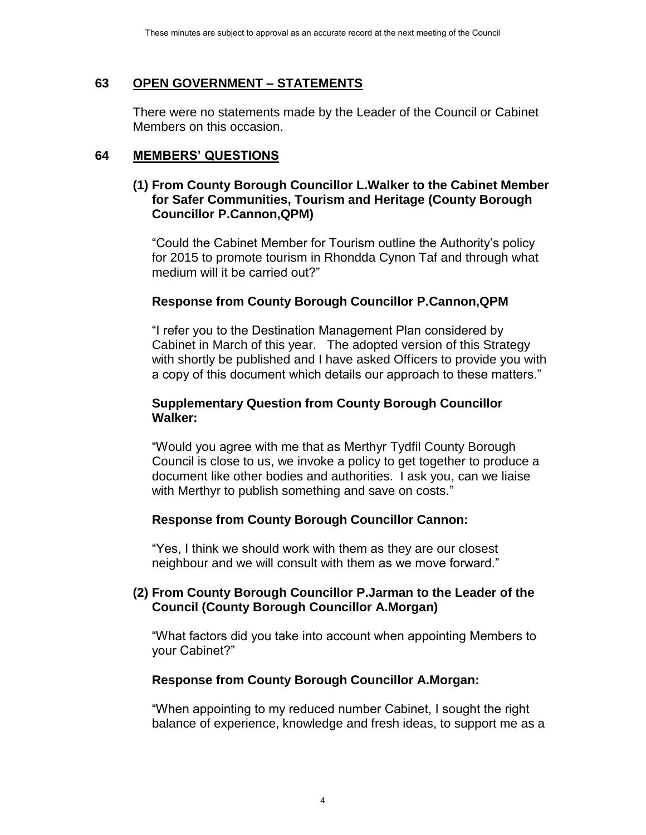## **63 OPEN GOVERNMENT – STATEMENTS**

There were no statements made by the Leader of the Council or Cabinet Members on this occasion.

### **64 MEMBERS' QUESTIONS**

#### **(1) From County Borough Councillor L.Walker to the Cabinet Member for Safer Communities, Tourism and Heritage (County Borough Councillor P.Cannon,QPM)**

"Could the Cabinet Member for Tourism outline the Authority's policy for 2015 to promote tourism in Rhondda Cynon Taf and through what medium will it be carried out?"

## **Response from County Borough Councillor P.Cannon,QPM**

"I refer you to the Destination Management Plan considered by Cabinet in March of this year. The adopted version of this Strategy with shortly be published and I have asked Officers to provide you with a copy of this document which details our approach to these matters."

#### **Supplementary Question from County Borough Councillor Walker:**

"Would you agree with me that as Merthyr Tydfil County Borough Council is close to us, we invoke a policy to get together to produce a document like other bodies and authorities. I ask you, can we liaise with Merthyr to publish something and save on costs."

## **Response from County Borough Councillor Cannon:**

"Yes, I think we should work with them as they are our closest neighbour and we will consult with them as we move forward."

#### **(2) From County Borough Councillor P.Jarman to the Leader of the Council (County Borough Councillor A.Morgan)**

"What factors did you take into account when appointing Members to your Cabinet?"

#### **Response from County Borough Councillor A.Morgan:**

"When appointing to my reduced number Cabinet, I sought the right balance of experience, knowledge and fresh ideas, to support me as a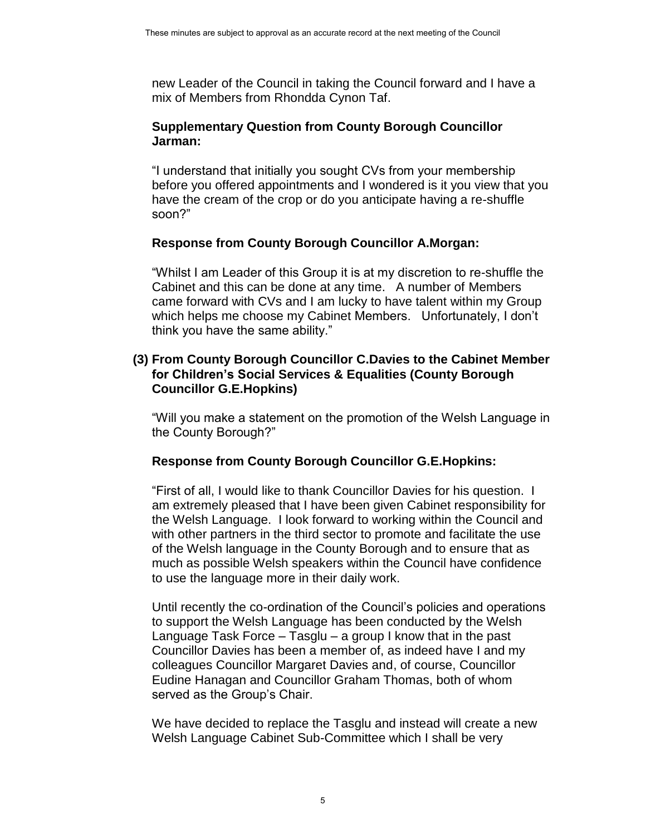new Leader of the Council in taking the Council forward and I have a mix of Members from Rhondda Cynon Taf.

#### **Supplementary Question from County Borough Councillor Jarman:**

"I understand that initially you sought CVs from your membership before you offered appointments and I wondered is it you view that you have the cream of the crop or do you anticipate having a re-shuffle soon?"

## **Response from County Borough Councillor A.Morgan:**

"Whilst I am Leader of this Group it is at my discretion to re-shuffle the Cabinet and this can be done at any time. A number of Members came forward with CVs and I am lucky to have talent within my Group which helps me choose my Cabinet Members. Unfortunately, I don't think you have the same ability."

#### **(3) From County Borough Councillor C.Davies to the Cabinet Member for Children's Social Services & Equalities (County Borough Councillor G.E.Hopkins)**

"Will you make a statement on the promotion of the Welsh Language in the County Borough?"

## **Response from County Borough Councillor G.E.Hopkins:**

"First of all, I would like to thank Councillor Davies for his question. I am extremely pleased that I have been given Cabinet responsibility for the Welsh Language. I look forward to working within the Council and with other partners in the third sector to promote and facilitate the use of the Welsh language in the County Borough and to ensure that as much as possible Welsh speakers within the Council have confidence to use the language more in their daily work.

Until recently the co-ordination of the Council's policies and operations to support the Welsh Language has been conducted by the Welsh Language Task Force – Tasglu – a group I know that in the past Councillor Davies has been a member of, as indeed have I and my colleagues Councillor Margaret Davies and, of course, Councillor Eudine Hanagan and Councillor Graham Thomas, both of whom served as the Group's Chair.

We have decided to replace the Tasglu and instead will create a new Welsh Language Cabinet Sub-Committee which I shall be very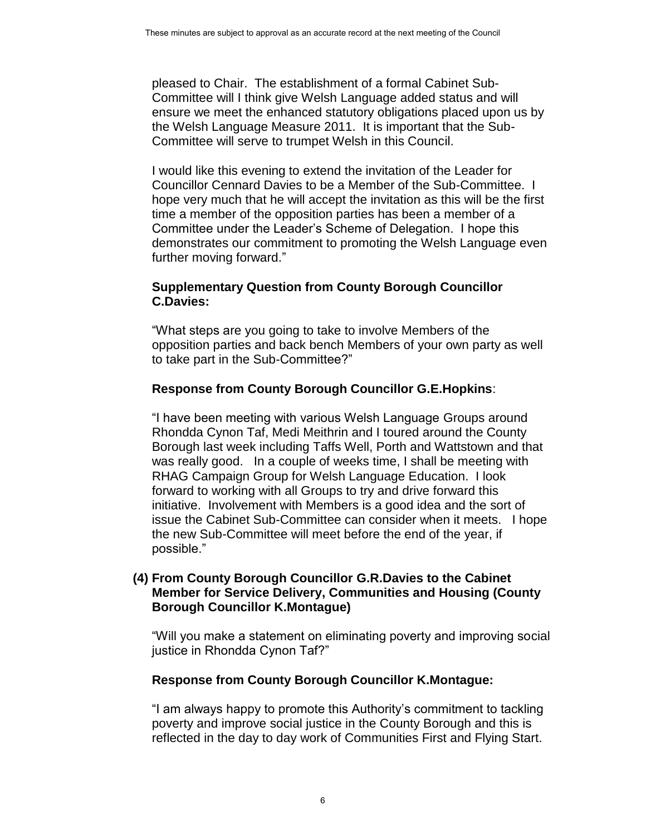pleased to Chair. The establishment of a formal Cabinet Sub-Committee will I think give Welsh Language added status and will ensure we meet the enhanced statutory obligations placed upon us by the Welsh Language Measure 2011. It is important that the Sub-Committee will serve to trumpet Welsh in this Council.

I would like this evening to extend the invitation of the Leader for Councillor Cennard Davies to be a Member of the Sub-Committee. I hope very much that he will accept the invitation as this will be the first time a member of the opposition parties has been a member of a Committee under the Leader's Scheme of Delegation. I hope this demonstrates our commitment to promoting the Welsh Language even further moving forward."

## **Supplementary Question from County Borough Councillor C.Davies:**

"What steps are you going to take to involve Members of the opposition parties and back bench Members of your own party as well to take part in the Sub-Committee?"

## **Response from County Borough Councillor G.E.Hopkins**:

"I have been meeting with various Welsh Language Groups around Rhondda Cynon Taf, Medi Meithrin and I toured around the County Borough last week including Taffs Well, Porth and Wattstown and that was really good. In a couple of weeks time, I shall be meeting with RHAG Campaign Group for Welsh Language Education. I look forward to working with all Groups to try and drive forward this initiative. Involvement with Members is a good idea and the sort of issue the Cabinet Sub-Committee can consider when it meets. I hope the new Sub-Committee will meet before the end of the year, if possible."

## **(4) From County Borough Councillor G.R.Davies to the Cabinet Member for Service Delivery, Communities and Housing (County Borough Councillor K.Montague)**

"Will you make a statement on eliminating poverty and improving social justice in Rhondda Cynon Taf?"

#### **Response from County Borough Councillor K.Montague:**

"I am always happy to promote this Authority's commitment to tackling poverty and improve social justice in the County Borough and this is reflected in the day to day work of Communities First and Flying Start.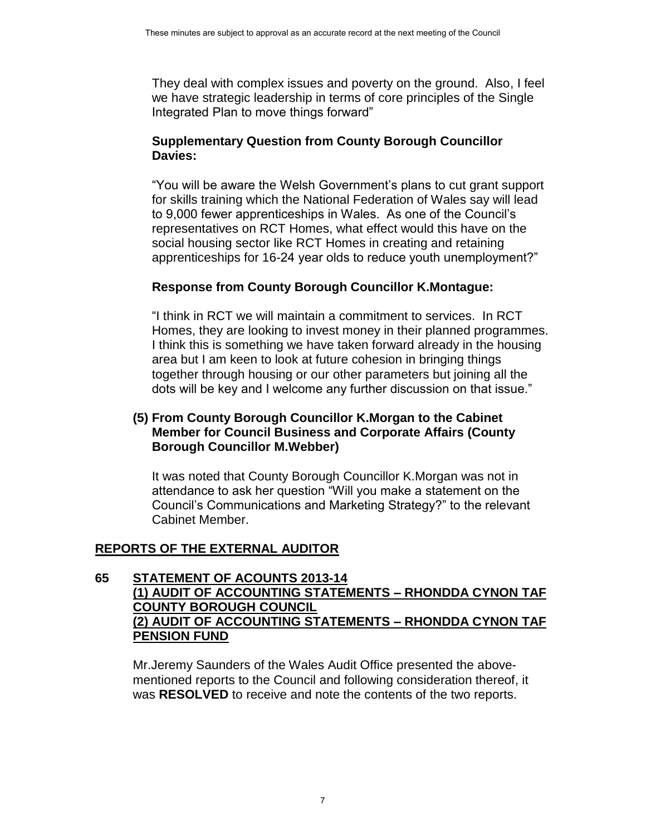They deal with complex issues and poverty on the ground. Also, I feel we have strategic leadership in terms of core principles of the Single Integrated Plan to move things forward"

## **Supplementary Question from County Borough Councillor Davies:**

"You will be aware the Welsh Government's plans to cut grant support for skills training which the National Federation of Wales say will lead to 9,000 fewer apprenticeships in Wales. As one of the Council's representatives on RCT Homes, what effect would this have on the social housing sector like RCT Homes in creating and retaining apprenticeships for 16-24 year olds to reduce youth unemployment?"

## **Response from County Borough Councillor K.Montague:**

"I think in RCT we will maintain a commitment to services. In RCT Homes, they are looking to invest money in their planned programmes. I think this is something we have taken forward already in the housing area but I am keen to look at future cohesion in bringing things together through housing or our other parameters but joining all the dots will be key and I welcome any further discussion on that issue."

## **(5) From County Borough Councillor K.Morgan to the Cabinet Member for Council Business and Corporate Affairs (County Borough Councillor M.Webber)**

It was noted that County Borough Councillor K.Morgan was not in attendance to ask her question "Will you make a statement on the Council's Communications and Marketing Strategy?" to the relevant Cabinet Member.

## **REPORTS OF THE EXTERNAL AUDITOR**

#### **65 STATEMENT OF ACOUNTS 2013-14 (1) AUDIT OF ACCOUNTING STATEMENTS – RHONDDA CYNON TAF COUNTY BOROUGH COUNCIL (2) AUDIT OF ACCOUNTING STATEMENTS – RHONDDA CYNON TAF PENSION FUND**

Mr.Jeremy Saunders of the Wales Audit Office presented the abovementioned reports to the Council and following consideration thereof, it was **RESOLVED** to receive and note the contents of the two reports.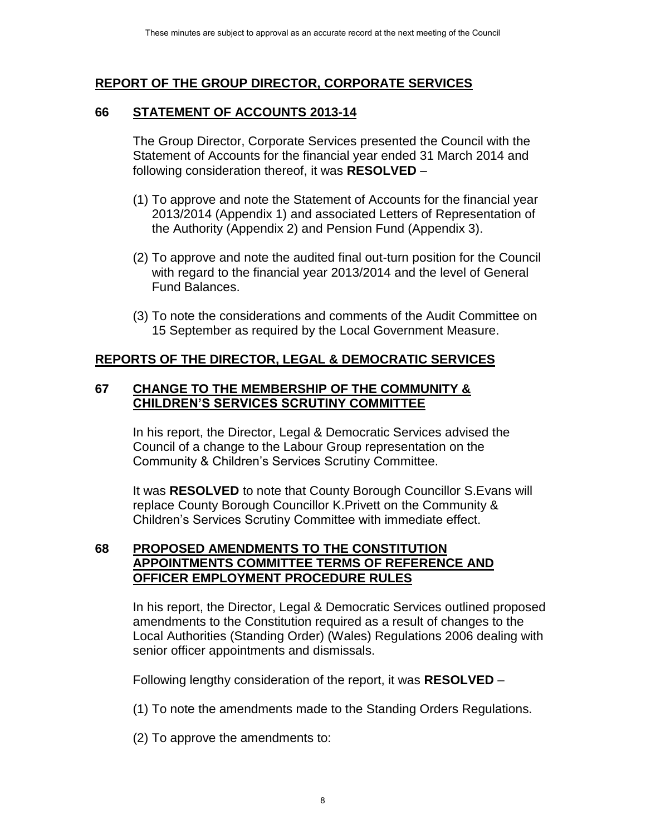# **REPORT OF THE GROUP DIRECTOR, CORPORATE SERVICES**

## **66 STATEMENT OF ACCOUNTS 2013-14**

The Group Director, Corporate Services presented the Council with the Statement of Accounts for the financial year ended 31 March 2014 and following consideration thereof, it was **RESOLVED** –

- (1) To approve and note the Statement of Accounts for the financial year 2013/2014 (Appendix 1) and associated Letters of Representation of the Authority (Appendix 2) and Pension Fund (Appendix 3).
- (2) To approve and note the audited final out-turn position for the Council with regard to the financial year 2013/2014 and the level of General Fund Balances.
- (3) To note the considerations and comments of the Audit Committee on 15 September as required by the Local Government Measure.

# **REPORTS OF THE DIRECTOR, LEGAL & DEMOCRATIC SERVICES**

## **67 CHANGE TO THE MEMBERSHIP OF THE COMMUNITY & CHILDREN'S SERVICES SCRUTINY COMMITTEE**

In his report, the Director, Legal & Democratic Services advised the Council of a change to the Labour Group representation on the Community & Children's Services Scrutiny Committee.

It was **RESOLVED** to note that County Borough Councillor S.Evans will replace County Borough Councillor K.Privett on the Community & Children's Services Scrutiny Committee with immediate effect.

#### **68 PROPOSED AMENDMENTS TO THE CONSTITUTION APPOINTMENTS COMMITTEE TERMS OF REFERENCE AND OFFICER EMPLOYMENT PROCEDURE RULES**

In his report, the Director, Legal & Democratic Services outlined proposed amendments to the Constitution required as a result of changes to the Local Authorities (Standing Order) (Wales) Regulations 2006 dealing with senior officer appointments and dismissals.

Following lengthy consideration of the report, it was **RESOLVED** –

- (1) To note the amendments made to the Standing Orders Regulations.
- (2) To approve the amendments to: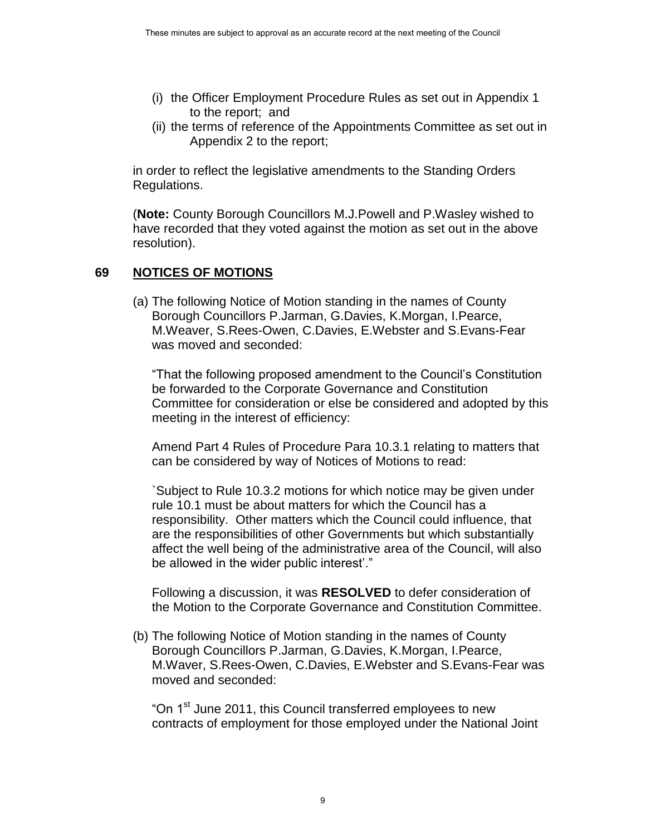- (i) the Officer Employment Procedure Rules as set out in Appendix 1 to the report; and
- (ii) the terms of reference of the Appointments Committee as set out in Appendix 2 to the report;

in order to reflect the legislative amendments to the Standing Orders Regulations.

(**Note:** County Borough Councillors M.J.Powell and P.Wasley wished to have recorded that they voted against the motion as set out in the above resolution).

# **69 NOTICES OF MOTIONS**

(a) The following Notice of Motion standing in the names of County Borough Councillors P.Jarman, G.Davies, K.Morgan, I.Pearce, M.Weaver, S.Rees-Owen, C.Davies, E.Webster and S.Evans-Fear was moved and seconded:

"That the following proposed amendment to the Council's Constitution be forwarded to the Corporate Governance and Constitution Committee for consideration or else be considered and adopted by this meeting in the interest of efficiency:

Amend Part 4 Rules of Procedure Para 10.3.1 relating to matters that can be considered by way of Notices of Motions to read:

`Subject to Rule 10.3.2 motions for which notice may be given under rule 10.1 must be about matters for which the Council has a responsibility. Other matters which the Council could influence, that are the responsibilities of other Governments but which substantially affect the well being of the administrative area of the Council, will also be allowed in the wider public interest'."

Following a discussion, it was **RESOLVED** to defer consideration of the Motion to the Corporate Governance and Constitution Committee.

(b) The following Notice of Motion standing in the names of County Borough Councillors P.Jarman, G.Davies, K.Morgan, I.Pearce, M.Waver, S.Rees-Owen, C.Davies, E.Webster and S.Evans-Fear was moved and seconded:

"On 1<sup>st</sup> June 2011, this Council transferred employees to new contracts of employment for those employed under the National Joint